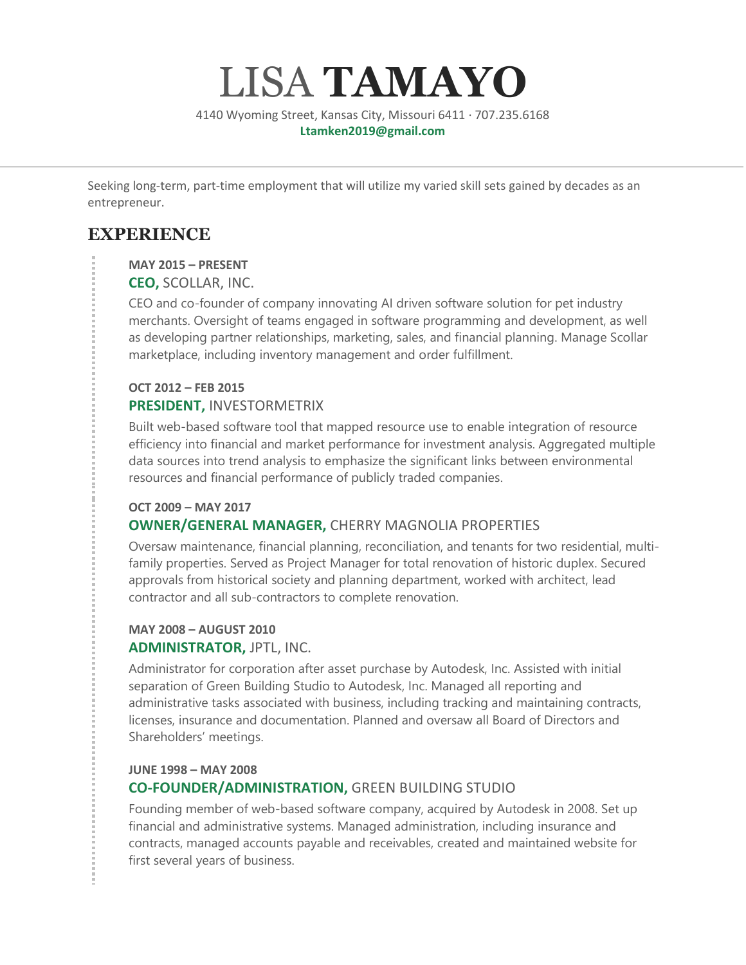# LISA **TAMAYO**

4140 Wyoming Street, Kansas City, Missouri 6411 · 707.235.6168 **Ltamken2019@gmail.com**

Seeking long-term, part-time employment that will utilize my varied skill sets gained by decades as an entrepreneur.

## **EXPERIENCE**

#### **MAY 2015 – PRESENT**

**CEO,** SCOLLAR, INC.

CEO and co-founder of company innovating AI driven software solution for pet industry merchants. Oversight of teams engaged in software programming and development, as well as developing partner relationships, marketing, sales, and financial planning. Manage Scollar marketplace, including inventory management and order fulfillment.

### **OCT 2012 – FEB 2015**

#### **PRESIDENT,** INVESTORMETRIX

Built web-based software tool that mapped resource use to enable integration of resource efficiency into financial and market performance for investment analysis. Aggregated multiple data sources into trend analysis to emphasize the significant links between environmental resources and financial performance of publicly traded companies.

#### **OCT 2009 – MAY 2017 OWNER/GENERAL MANAGER,** CHERRY MAGNOLIA PROPERTIES

Oversaw maintenance, financial planning, reconciliation, and tenants for two residential, multifamily properties. Served as Project Manager for total renovation of historic duplex. Secured approvals from historical society and planning department, worked with architect, lead contractor and all sub-contractors to complete renovation.

## **MAY 2008 – AUGUST 2010 ADMINISTRATOR,** JPTL, INC.

Administrator for corporation after asset purchase by Autodesk, Inc. Assisted with initial separation of Green Building Studio to Autodesk, Inc. Managed all reporting and administrative tasks associated with business, including tracking and maintaining contracts, licenses, insurance and documentation. Planned and oversaw all Board of Directors and Shareholders' meetings.

#### **JUNE 1998 – MAY 2008**

## **CO-FOUNDER/ADMINISTRATION,** GREEN BUILDING STUDIO

Founding member of web-based software company, acquired by Autodesk in 2008. Set up financial and administrative systems. Managed administration, including insurance and contracts, managed accounts payable and receivables, created and maintained website for first several years of business.